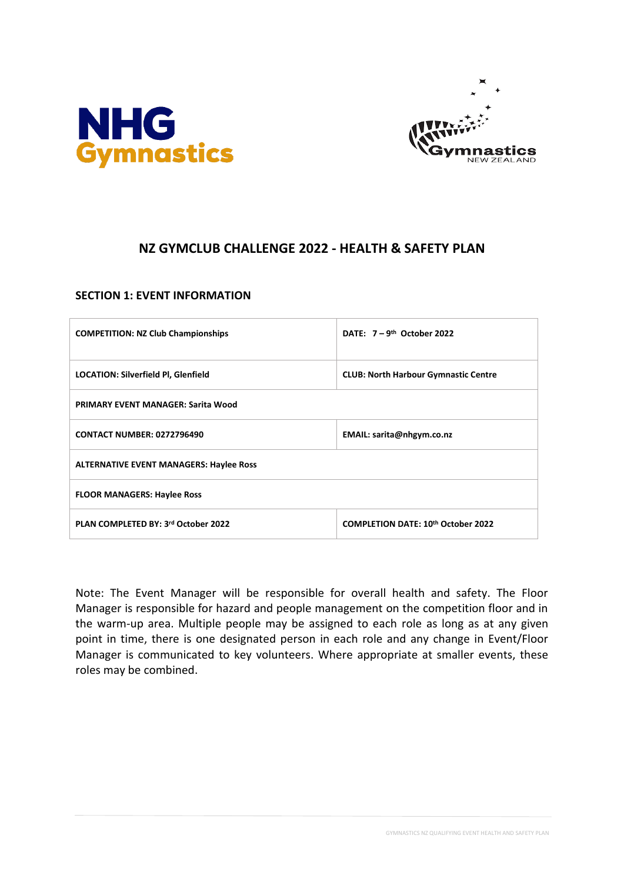



# **NZ GYMCLUB CHALLENGE 2022 - HEALTH & SAFETY PLAN**

### **SECTION 1: EVENT INFORMATION**

| <b>COMPETITION: NZ Club Championships</b>      | DATE: $7 - 9$ <sup>th</sup> October 2022    |  |  |  |  |
|------------------------------------------------|---------------------------------------------|--|--|--|--|
| <b>LOCATION: Silverfield PI, Glenfield</b>     | <b>CLUB: North Harbour Gymnastic Centre</b> |  |  |  |  |
| <b>PRIMARY EVENT MANAGER: Sarita Wood</b>      |                                             |  |  |  |  |
| <b>CONTACT NUMBER: 0272796490</b>              | EMAIL: sarita@nhgym.co.nz                   |  |  |  |  |
| <b>ALTERNATIVE EVENT MANAGERS: Haylee Ross</b> |                                             |  |  |  |  |
| <b>FLOOR MANAGERS: Haylee Ross</b>             |                                             |  |  |  |  |
| PLAN COMPLETED BY: 3rd October 2022            | <b>COMPLETION DATE: 10th October 2022</b>   |  |  |  |  |

Note: The Event Manager will be responsible for overall health and safety. The Floor Manager is responsible for hazard and people management on the competition floor and in the warm-up area. Multiple people may be assigned to each role as long as at any given point in time, there is one designated person in each role and any change in Event/Floor Manager is communicated to key volunteers. Where appropriate at smaller events, these roles may be combined.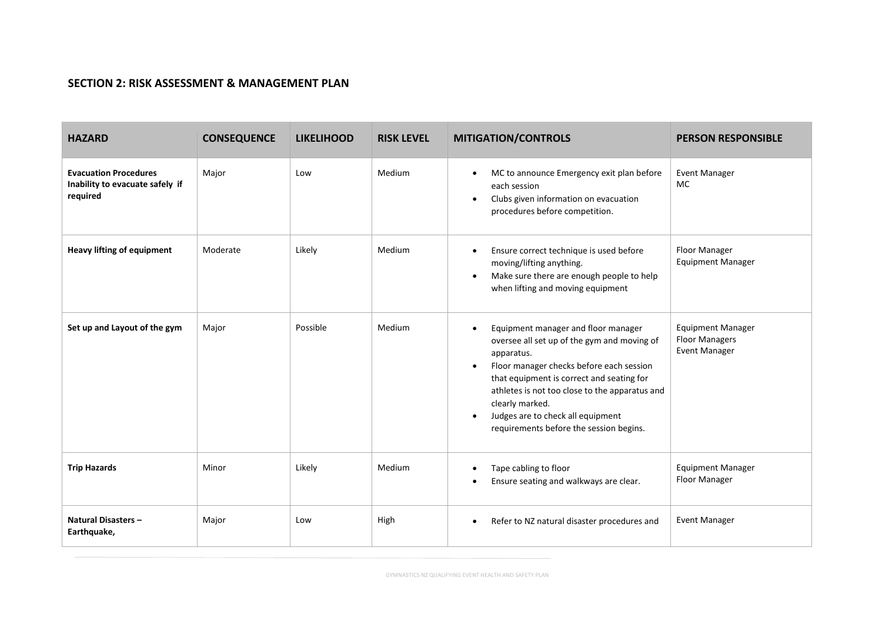## **SECTION 2: RISK ASSESSMENT & MANAGEMENT PLAN**

| <b>HAZARD</b>                                                               | <b>CONSEQUENCE</b> | <b>LIKELIHOOD</b> | <b>RISK LEVEL</b> | <b>MITIGATION/CONTROLS</b>                                                                                                                                                                                                                                                                                                                                                            | <b>PERSON RESPONSIBLE</b>                                                 |
|-----------------------------------------------------------------------------|--------------------|-------------------|-------------------|---------------------------------------------------------------------------------------------------------------------------------------------------------------------------------------------------------------------------------------------------------------------------------------------------------------------------------------------------------------------------------------|---------------------------------------------------------------------------|
| <b>Evacuation Procedures</b><br>Inability to evacuate safely if<br>required | Major              | Low               | Medium            | MC to announce Emergency exit plan before<br>$\bullet$<br>each session<br>Clubs given information on evacuation<br>$\bullet$<br>procedures before competition.                                                                                                                                                                                                                        | <b>Event Manager</b><br>MC                                                |
| <b>Heavy lifting of equipment</b>                                           | Moderate           | Likely            | Medium            | Ensure correct technique is used before<br>$\bullet$<br>moving/lifting anything.<br>Make sure there are enough people to help<br>when lifting and moving equipment                                                                                                                                                                                                                    | Floor Manager<br><b>Equipment Manager</b>                                 |
| Set up and Layout of the gym                                                | Major              | Possible          | Medium            | Equipment manager and floor manager<br>$\bullet$<br>oversee all set up of the gym and moving of<br>apparatus.<br>Floor manager checks before each session<br>$\bullet$<br>that equipment is correct and seating for<br>athletes is not too close to the apparatus and<br>clearly marked.<br>Judges are to check all equipment<br>$\bullet$<br>requirements before the session begins. | <b>Equipment Manager</b><br><b>Floor Managers</b><br><b>Event Manager</b> |
| <b>Trip Hazards</b>                                                         | Minor              | Likely            | Medium            | Tape cabling to floor<br>Ensure seating and walkways are clear.                                                                                                                                                                                                                                                                                                                       | <b>Equipment Manager</b><br>Floor Manager                                 |
| <b>Natural Disasters-</b><br>Earthquake,                                    | Major              | Low               | High              | Refer to NZ natural disaster procedures and<br>$\bullet$                                                                                                                                                                                                                                                                                                                              | <b>Event Manager</b>                                                      |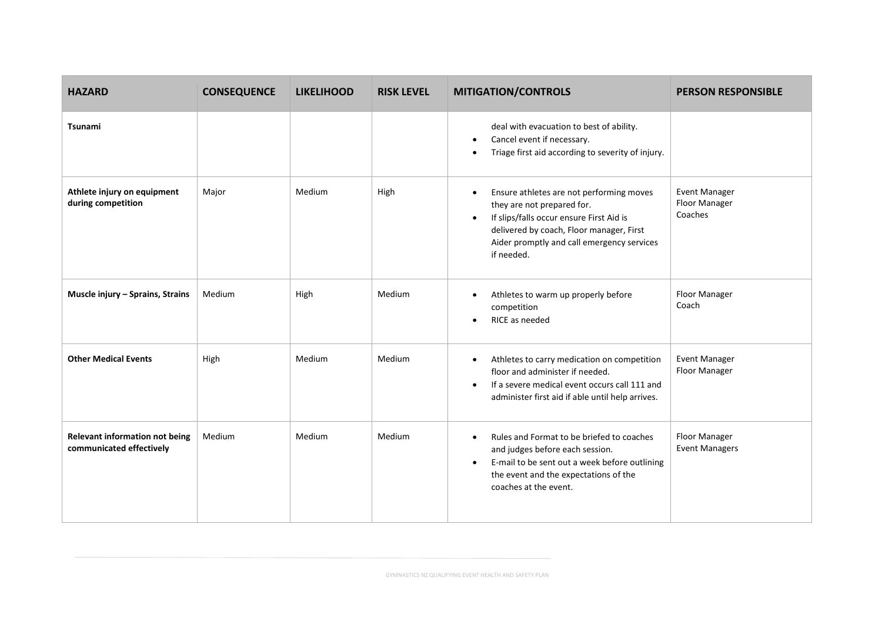| <b>HAZARD</b>                                              | <b>CONSEQUENCE</b> | <b>LIKELIHOOD</b> | <b>RISK LEVEL</b> | <b>MITIGATION/CONTROLS</b>                                                                                                                                                                                                                           | <b>PERSON RESPONSIBLE</b>                 |
|------------------------------------------------------------|--------------------|-------------------|-------------------|------------------------------------------------------------------------------------------------------------------------------------------------------------------------------------------------------------------------------------------------------|-------------------------------------------|
| <b>Tsunami</b>                                             |                    |                   |                   | deal with evacuation to best of ability.<br>Cancel event if necessary.<br>$\bullet$<br>Triage first aid according to severity of injury.<br>$\bullet$                                                                                                |                                           |
| Athlete injury on equipment<br>during competition          | Major              | Medium            | High              | Ensure athletes are not performing moves<br>$\bullet$<br>they are not prepared for.<br>If slips/falls occur ensure First Aid is<br>$\bullet$<br>delivered by coach, Floor manager, First<br>Aider promptly and call emergency services<br>if needed. | Event Manager<br>Floor Manager<br>Coaches |
| Muscle injury - Sprains, Strains                           | Medium             | High              | Medium            | Athletes to warm up properly before<br>$\bullet$<br>competition<br>RICE as needed<br>$\bullet$                                                                                                                                                       | Floor Manager<br>Coach                    |
| <b>Other Medical Events</b>                                | High               | Medium            | Medium            | Athletes to carry medication on competition<br>$\bullet$<br>floor and administer if needed.<br>If a severe medical event occurs call 111 and<br>$\bullet$<br>administer first aid if able until help arrives.                                        | Event Manager<br>Floor Manager            |
| Relevant information not being<br>communicated effectively | Medium             | Medium            | Medium            | Rules and Format to be briefed to coaches<br>$\bullet$<br>and judges before each session.<br>E-mail to be sent out a week before outlining<br>$\bullet$<br>the event and the expectations of the<br>coaches at the event.                            | Floor Manager<br><b>Event Managers</b>    |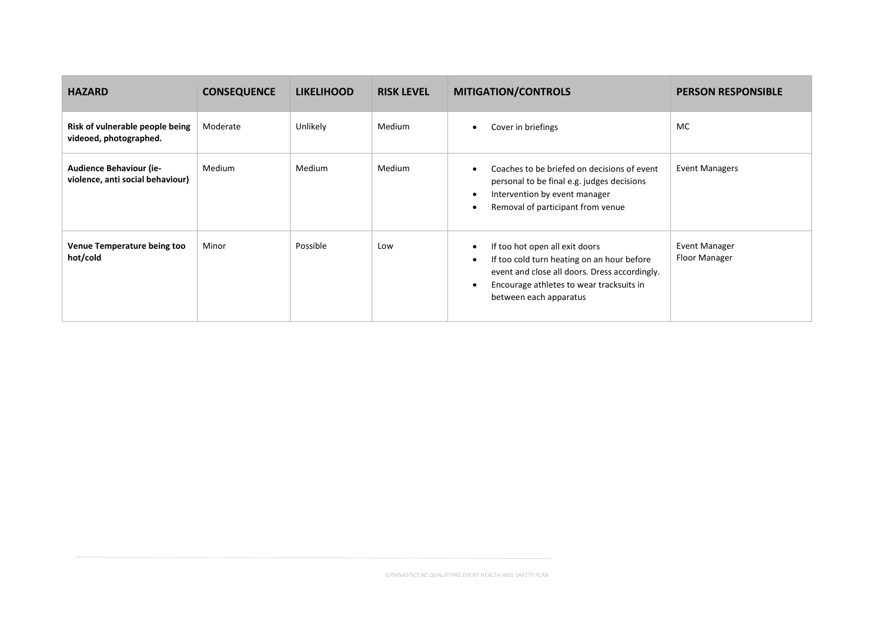| <b>HAZARD</b>                                                      | <b>CONSEQUENCE</b> | <b>LIKELIHOOD</b> | <b>RISK LEVEL</b> | <b>MITIGATION/CONTROLS</b>                                                                                                                                                                                            | <b>PERSON RESPONSIBLE</b>      |
|--------------------------------------------------------------------|--------------------|-------------------|-------------------|-----------------------------------------------------------------------------------------------------------------------------------------------------------------------------------------------------------------------|--------------------------------|
| Risk of vulnerable people being<br>videoed, photographed.          | Moderate           | Unlikely          | <b>Medium</b>     | Cover in briefings                                                                                                                                                                                                    | MC                             |
| <b>Audience Behaviour (ie-</b><br>violence, anti social behaviour) | Medium             | Medium            | Medium            | Coaches to be briefed on decisions of event<br>$\bullet$<br>personal to be final e.g. judges decisions<br>Intervention by event manager<br>$\bullet$<br>Removal of participant from venue<br>$\bullet$                | <b>Event Managers</b>          |
| Venue Temperature being too<br>hot/cold                            | Minor              | Possible          | Low               | If too hot open all exit doors<br>$\bullet$<br>If too cold turn heating on an hour before<br>٠<br>event and close all doors. Dress accordingly.<br>Encourage athletes to wear tracksuits in<br>between each apparatus | Event Manager<br>Floor Manager |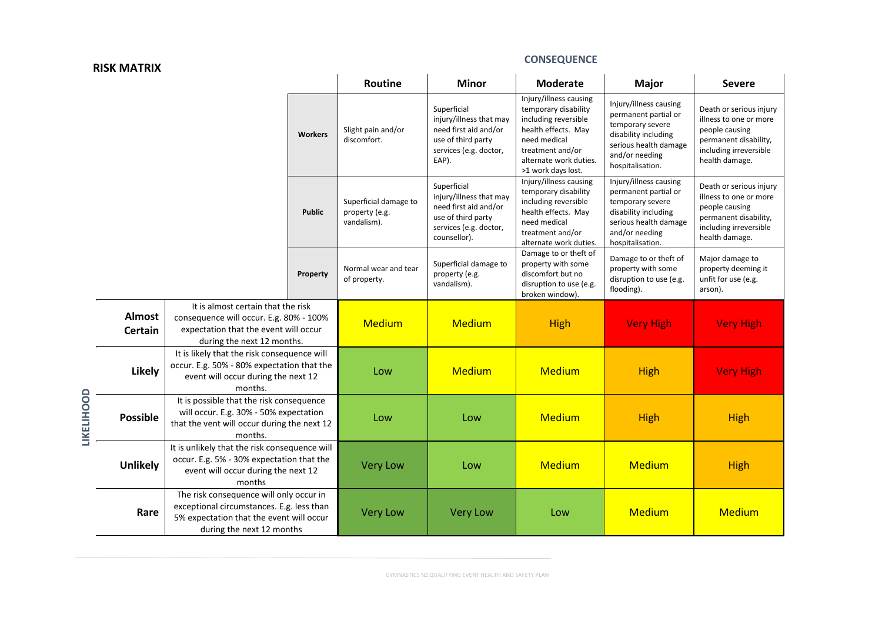#### **RISK MATRIX**

**LIKELIHOOD**

### **CONSEQUENCE**

|                          |                                                                                                                                                               | Routine        | <b>Minor</b>                                           | <b>Moderate</b>                                                                                                                 | <b>Major</b>                                                                                                                                                                      | <b>Severe</b>                                                                                                                                             |                                                                                                                                          |
|--------------------------|---------------------------------------------------------------------------------------------------------------------------------------------------------------|----------------|--------------------------------------------------------|---------------------------------------------------------------------------------------------------------------------------------|-----------------------------------------------------------------------------------------------------------------------------------------------------------------------------------|-----------------------------------------------------------------------------------------------------------------------------------------------------------|------------------------------------------------------------------------------------------------------------------------------------------|
|                          |                                                                                                                                                               | <b>Workers</b> | Slight pain and/or<br>discomfort.                      | Superficial<br>injury/illness that may<br>need first aid and/or<br>use of third party<br>services (e.g. doctor,<br>EAP).        | Injury/illness causing<br>temporary disability<br>including reversible<br>health effects. May<br>need medical<br>treatment and/or<br>alternate work duties.<br>>1 work days lost. | Injury/illness causing<br>permanent partial or<br>temporary severe<br>disability including<br>serious health damage<br>and/or needing<br>hospitalisation. | Death or serious injury<br>illness to one or more<br>people causing<br>permanent disability,<br>including irreversible<br>health damage. |
|                          |                                                                                                                                                               | <b>Public</b>  | Superficial damage to<br>property (e.g.<br>vandalism). | Superficial<br>injury/illness that may<br>need first aid and/or<br>use of third party<br>services (e.g. doctor,<br>counsellor). | Injury/illness causing<br>temporary disability<br>including reversible<br>health effects. May<br>need medical<br>treatment and/or<br>alternate work duties.                       | Injury/illness causing<br>permanent partial or<br>temporary severe<br>disability including<br>serious health damage<br>and/or needing<br>hospitalisation. | Death or serious injury<br>illness to one or more<br>people causing<br>permanent disability,<br>including irreversible<br>health damage. |
|                          |                                                                                                                                                               | Property       | Normal wear and tear<br>of property.                   | Superficial damage to<br>property (e.g.<br>vandalism).                                                                          | Damage to or theft of<br>property with some<br>discomfort but no<br>disruption to use (e.g.<br>broken window).                                                                    | Damage to or theft of<br>property with some<br>disruption to use (e.g.<br>flooding).                                                                      | Major damage to<br>property deeming it<br>unfit for use (e.g.<br>arson).                                                                 |
| Almost<br><b>Certain</b> | It is almost certain that the risk<br>consequence will occur. E.g. 80% - 100%<br>expectation that the event will occur<br>during the next 12 months.          |                | <b>Medium</b>                                          | <b>Medium</b>                                                                                                                   | <b>High</b>                                                                                                                                                                       | <b>Very High</b>                                                                                                                                          | <b>Very High</b>                                                                                                                         |
| Likely                   | It is likely that the risk consequence will<br>occur. E.g. 50% - 80% expectation that the<br>event will occur during the next 12<br>months.                   |                | Low                                                    | <b>Medium</b>                                                                                                                   | <b>Medium</b>                                                                                                                                                                     | <b>High</b>                                                                                                                                               | <b>Very High</b>                                                                                                                         |
| <b>Possible</b>          | It is possible that the risk consequence<br>will occur. E.g. 30% - 50% expectation<br>that the vent will occur during the next 12<br>months.                  |                | Low                                                    | Low                                                                                                                             | <b>Medium</b>                                                                                                                                                                     | <b>High</b>                                                                                                                                               | <b>High</b>                                                                                                                              |
| <b>Unlikely</b>          | It is unlikely that the risk consequence will<br>occur. E.g. 5% - 30% expectation that the<br>event will occur during the next 12<br>months                   |                | <b>Very Low</b>                                        | Low                                                                                                                             | <b>Medium</b>                                                                                                                                                                     | <b>Medium</b>                                                                                                                                             | <b>High</b>                                                                                                                              |
| Rare                     | The risk consequence will only occur in<br>exceptional circumstances. E.g. less than<br>5% expectation that the event will occur<br>during the next 12 months |                | <b>Very Low</b>                                        | <b>Very Low</b>                                                                                                                 | Low                                                                                                                                                                               | <b>Medium</b>                                                                                                                                             | <b>Medium</b>                                                                                                                            |

GYMNASTICS NZ QUALIFYING EVENT HEALTH AND SAFETY PLAN